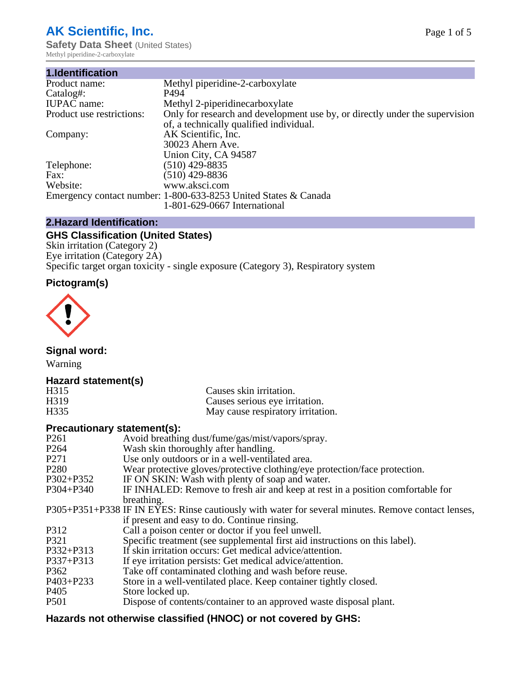# **AK Scientific, Inc.**

**Safety Data Sheet (United States)** Methyl piperidine-2-carboxylate

| 1.Identification          |                                                                             |
|---------------------------|-----------------------------------------------------------------------------|
| Product name:             | Methyl piperidine-2-carboxylate                                             |
| Catalog#:                 | P494                                                                        |
| <b>IUPAC</b> name:        | Methyl 2-piperidinecarboxylate                                              |
| Product use restrictions: | Only for research and development use by, or directly under the supervision |
|                           | of, a technically qualified individual.                                     |
| Company:                  | AK Scientific, Inc.                                                         |
|                           | 30023 Ahern Ave.                                                            |
|                           | Union City, CA 94587                                                        |
| Telephone:                | $(510)$ 429-8835                                                            |
| Fax:                      | $(510)$ 429-8836                                                            |
| Website:                  | www.aksci.com                                                               |
|                           | Emergency contact number: 1-800-633-8253 United States & Canada             |
|                           | 1-801-629-0667 International                                                |

# **2.Hazard Identification:**

# **GHS Classification (United States)**

Skin irritation (Category 2) Eye irritation (Category 2A) Specific target organ toxicity - single exposure (Category 3), Respiratory system

# **Pictogram(s)**



**Signal word:**

Warning

# **Hazard statement(s)**

| H315 | Causes skin irritation.           |
|------|-----------------------------------|
| H319 | Causes serious eye irritation.    |
| H335 | May cause respiratory irritation. |

## **Precautionary statement(s):**

| P <sub>261</sub> | Avoid breathing dust/fume/gas/mist/vapors/spray.                                                   |
|------------------|----------------------------------------------------------------------------------------------------|
| P <sub>264</sub> | Wash skin thoroughly after handling.                                                               |
| P <sub>271</sub> | Use only outdoors or in a well-ventilated area.                                                    |
| P <sub>280</sub> | Wear protective gloves/protective clothing/eye protection/face protection.                         |
| P302+P352        | IF ON SKIN: Wash with plenty of soap and water.                                                    |
| $P304 + P340$    | IF INHALED: Remove to fresh air and keep at rest in a position comfortable for                     |
|                  | breathing.                                                                                         |
|                  | P305+P351+P338 IF IN EYES: Rinse cautiously with water for several minutes. Remove contact lenses, |
|                  | if present and easy to do. Continue rinsing.                                                       |
| P312             | Call a poison center or doctor if you feel unwell.                                                 |
| P321             | Specific treatment (see supplemental first aid instructions on this label).                        |
| P332+P313        | If skin irritation occurs: Get medical advice/attention.                                           |
| P337+P313        | If eye irritation persists: Get medical advice/attention.                                          |
| P362             | Take off contaminated clothing and wash before reuse.                                              |
| $P403 + P233$    | Store in a well-ventilated place. Keep container tightly closed.                                   |
| P <sub>405</sub> | Store locked up.                                                                                   |
| P <sub>501</sub> | Dispose of contents/container to an approved waste disposal plant.                                 |
|                  |                                                                                                    |

# **Hazards not otherwise classified (HNOC) or not covered by GHS:**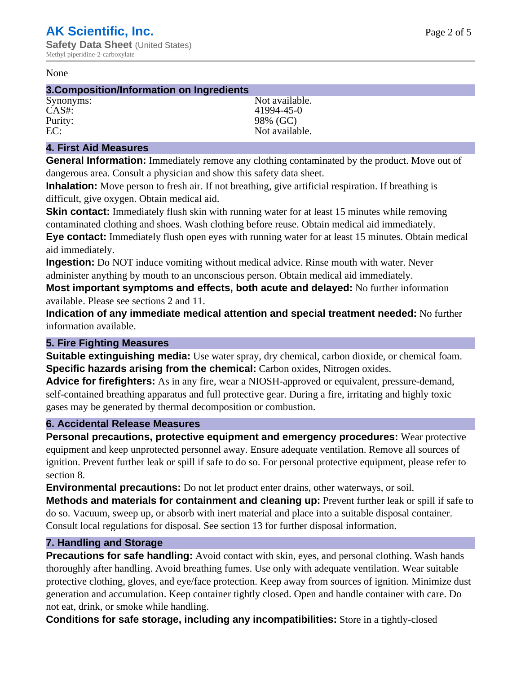#### None

#### **3.Composition/Information on Ingredients**

CAS#: 41994-45-0 Purity: 98% (GC)<br>EC: Not availal

Synonyms: Not available. Not available.

## **4. First Aid Measures**

**General Information:** Immediately remove any clothing contaminated by the product. Move out of dangerous area. Consult a physician and show this safety data sheet.

**Inhalation:** Move person to fresh air. If not breathing, give artificial respiration. If breathing is difficult, give oxygen. Obtain medical aid.

**Skin contact:** Immediately flush skin with running water for at least 15 minutes while removing contaminated clothing and shoes. Wash clothing before reuse. Obtain medical aid immediately. **Eye contact:** Immediately flush open eyes with running water for at least 15 minutes. Obtain medical aid immediately.

**Ingestion:** Do NOT induce vomiting without medical advice. Rinse mouth with water. Never administer anything by mouth to an unconscious person. Obtain medical aid immediately.

**Most important symptoms and effects, both acute and delayed:** No further information available. Please see sections 2 and 11.

**Indication of any immediate medical attention and special treatment needed:** No further information available.

## **5. Fire Fighting Measures**

**Suitable extinguishing media:** Use water spray, dry chemical, carbon dioxide, or chemical foam. **Specific hazards arising from the chemical:** Carbon oxides, Nitrogen oxides.

**Advice for firefighters:** As in any fire, wear a NIOSH-approved or equivalent, pressure-demand, self-contained breathing apparatus and full protective gear. During a fire, irritating and highly toxic gases may be generated by thermal decomposition or combustion.

## **6. Accidental Release Measures**

**Personal precautions, protective equipment and emergency procedures:** Wear protective equipment and keep unprotected personnel away. Ensure adequate ventilation. Remove all sources of ignition. Prevent further leak or spill if safe to do so. For personal protective equipment, please refer to section 8.

**Environmental precautions:** Do not let product enter drains, other waterways, or soil.

**Methods and materials for containment and cleaning up:** Prevent further leak or spill if safe to do so. Vacuum, sweep up, or absorb with inert material and place into a suitable disposal container. Consult local regulations for disposal. See section 13 for further disposal information.

## **7. Handling and Storage**

**Precautions for safe handling:** Avoid contact with skin, eyes, and personal clothing. Wash hands thoroughly after handling. Avoid breathing fumes. Use only with adequate ventilation. Wear suitable protective clothing, gloves, and eye/face protection. Keep away from sources of ignition. Minimize dust generation and accumulation. Keep container tightly closed. Open and handle container with care. Do not eat, drink, or smoke while handling.

**Conditions for safe storage, including any incompatibilities:** Store in a tightly-closed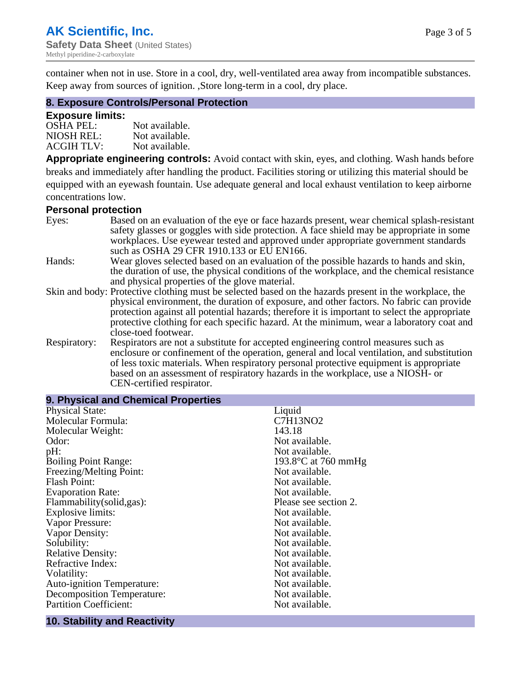container when not in use. Store in a cool, dry, well-ventilated area away from incompatible substances. Keep away from sources of ignition. ,Store long-term in a cool, dry place.

## **8. Exposure Controls/Personal Protection**

#### **Exposure limits:**

| <b>OSHA PEL:</b>  | Not available. |
|-------------------|----------------|
| NIOSH REL:        | Not available. |
| <b>ACGIH TLV:</b> | Not available. |

**Appropriate engineering controls:** Avoid contact with skin, eyes, and clothing. Wash hands before breaks and immediately after handling the product. Facilities storing or utilizing this material should be equipped with an eyewash fountain. Use adequate general and local exhaust ventilation to keep airborne concentrations low.

#### **Personal protection**

| Eyes:        | Based on an evaluation of the eye or face hazards present, wear chemical splash-resistant<br>safety glasses or goggles with side protection. A face shield may be appropriate in some |  |  |
|--------------|---------------------------------------------------------------------------------------------------------------------------------------------------------------------------------------|--|--|
|              | workplaces. Use eyewear tested and approved under appropriate government standards<br>such as OSHA 29 CFR 1910.133 or EU EN166.                                                       |  |  |
| Hands:       | Wear gloves selected based on an evaluation of the possible hazards to hands and skin,                                                                                                |  |  |
|              | the duration of use, the physical conditions of the workplace, and the chemical resistance                                                                                            |  |  |
|              | and physical properties of the glove material.                                                                                                                                        |  |  |
|              | Skin and body: Protective clothing must be selected based on the hazards present in the workplace, the                                                                                |  |  |
|              | physical environment, the duration of exposure, and other factors. No fabric can provide                                                                                              |  |  |
|              | protection against all potential hazards; therefore it is important to select the appropriate                                                                                         |  |  |
|              | protective clothing for each specific hazard. At the minimum, wear a laboratory coat and                                                                                              |  |  |
|              | close-toed footwear.                                                                                                                                                                  |  |  |
| Respiratory: | Respirators are not a substitute for accepted engineering control measures such as<br>enclosure or confinement of the operation, general and local ventilation, and substitution      |  |  |
|              | of less toxic materials. When respiratory personal protective equipment is appropriate                                                                                                |  |  |
|              | based on an assessment of respiratory hazards in the workplace, use a NIOSH- or                                                                                                       |  |  |
|              | CEN-certified respirator.                                                                                                                                                             |  |  |

| 9. Physical and Chemical Properties |                               |  |  |
|-------------------------------------|-------------------------------|--|--|
| <b>Physical State:</b>              | Liquid                        |  |  |
| Molecular Formula:                  | C7H13NO2                      |  |  |
| Molecular Weight:                   | 143.18                        |  |  |
| Odor:                               | Not available.                |  |  |
| pH:                                 | Not available.                |  |  |
| <b>Boiling Point Range:</b>         | 193.8 $\degree$ C at 760 mmHg |  |  |
| Freezing/Melting Point:             | Not available.                |  |  |
| <b>Flash Point:</b>                 | Not available.                |  |  |
| <b>Evaporation Rate:</b>            | Not available.                |  |  |
| Flammability(solid,gas):            | Please see section 2.         |  |  |
| Explosive limits:                   | Not available.                |  |  |
| Vapor Pressure:                     | Not available.                |  |  |
| Vapor Density:                      | Not available.                |  |  |
| Solubility:                         | Not available.                |  |  |
| <b>Relative Density:</b>            | Not available.                |  |  |
| Refractive Index:                   | Not available.                |  |  |
| Volatility:                         | Not available.                |  |  |
| <b>Auto-ignition Temperature:</b>   | Not available.                |  |  |
| <b>Decomposition Temperature:</b>   | Not available.                |  |  |
| <b>Partition Coefficient:</b>       | Not available.                |  |  |
|                                     |                               |  |  |

# **10. Stability and Reactivity**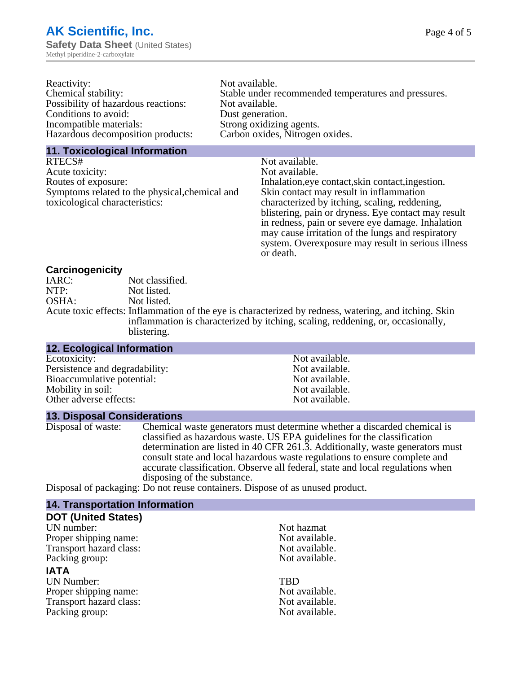| Reactivity:                         | Not available.                                       |
|-------------------------------------|------------------------------------------------------|
| Chemical stability:                 | Stable under recommended temperatures and pressures. |
| Possibility of hazardous reactions: | Not available.                                       |
| Conditions to avoid:                | Dust generation.                                     |
| Incompatible materials:             | Strong oxidizing agents.                             |
| Hazardous decomposition products:   | Carbon oxides, Nitrogen oxides.                      |
|                                     |                                                      |

### **11. Toxicological Information**

| RTECS#                                         | Not available.                                      |
|------------------------------------------------|-----------------------------------------------------|
| Acute toxicity:                                | Not available.                                      |
| Routes of exposure:                            | Inhalation, eye contact, skin contact, ingestion.   |
| Symptoms related to the physical, chemical and | Skin contact may result in inflammation             |
| toxicological characteristics:                 | characterized by itching, scaling, reddening,       |
|                                                | blistering, pain or dryness. Eye contact may result |
|                                                | in redness, pain or severe eye damage. Inhalation   |
|                                                | may cause irritation of the lungs and respiratory   |
|                                                | system. Overexposure may result in serious illness  |

or death.

### **Carcinogenicity**

| IARC: | Not classified.                                                                                       |
|-------|-------------------------------------------------------------------------------------------------------|
| NTP:  | Not listed.                                                                                           |
| OSHA: | Not listed.                                                                                           |
|       | Acute toxic effects: Inflammation of the eye is characterized by redness, watering, and itching. Skin |
|       | inflammation is characterized by itching, scaling, reddening, or, occasionally,                       |
|       | blistering.                                                                                           |

| Not available.                                                       |
|----------------------------------------------------------------------|
|                                                                      |
|                                                                      |
|                                                                      |
|                                                                      |
| Not available.<br>Not available.<br>Not available.<br>Not available. |

### **13. Disposal Considerations**

Disposal of waste: Chemical waste generators must determine whether a discarded chemical is classified as hazardous waste. US EPA guidelines for the classification determination are listed in 40 CFR 261.3. Additionally, waste generators must consult state and local hazardous waste regulations to ensure complete and accurate classification. Observe all federal, state and local regulations when disposing of the substance.

Disposal of packaging: Do not reuse containers. Dispose of as unused product.

| <b>14. Transportation Information</b> |                |
|---------------------------------------|----------------|
| <b>DOT (United States)</b>            |                |
| UN number:                            | Not hazmat     |
| Proper shipping name:                 | Not available. |
| Transport hazard class:               | Not available. |
| Packing group:                        | Not available. |
| <b>IATA</b>                           |                |
| <b>UN Number:</b>                     | <b>TBD</b>     |
| Proper shipping name:                 | Not available. |
| Transport hazard class:               | Not available. |
| Packing group:                        | Not available. |